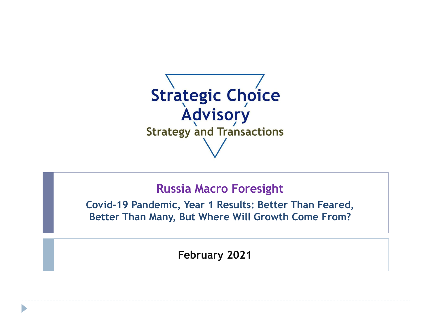

# **Russia Macro Foresight**

**Covid-19 Pandemic, Year 1 Results: Better Than Feared, Better Than Many, But Where Will Growth Come From?**

**February 2021**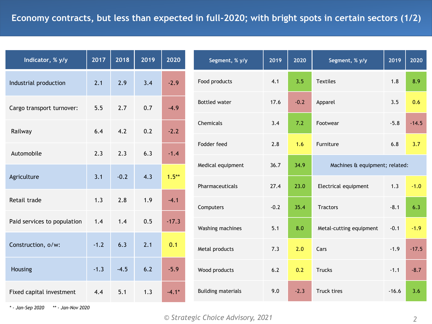| Indicator, % y/y            | 2017   | 2018   | 2019 | 2020     |
|-----------------------------|--------|--------|------|----------|
| Industrial production       | 2.1    | 2.9    | 3.4  | $-2.9$   |
| Cargo transport turnover:   | 5.5    | 2.7    | 0.7  | $-4.9$   |
| Railway                     | 6.4    | 4.2    | 0.2  | $-2.2$   |
| Automobile                  | 2.3    | 2.3    | 6.3  | $-1.4$   |
| Agriculture                 | 3.1    | $-0.2$ | 4.3  | $1.5***$ |
| Retail trade                | 1.3    | 2.8    | 1.9  | $-4.1$   |
| Paid services to population | 1.4    | 1.4    | 0.5  | $-17.3$  |
| Construction, o/w:          | $-1.2$ | 6.3    | 2.1  | 0.1      |
| Housing                     | $-1.3$ | $-4.5$ | 6.2  | $-5.9$   |
| Fixed capital investment    | 4.4    | 5.1    | 1.3  | $-4.1*$  |

| Segment, % y/y            | 2019   | 2020   | Segment, % y/y                 | 2019    | 2020    |
|---------------------------|--------|--------|--------------------------------|---------|---------|
| Food products             | 4.1    | 3.5    | <b>Textiles</b>                | 1.8     | 8.9     |
| <b>Bottled water</b>      | 17.6   | $-0.2$ | Apparel                        | 3.5     | 0.6     |
| Chemicals                 | 3.4    | 7.2    | Footwear                       | $-5.8$  | $-14.5$ |
| Fodder feed               | 2.8    | 1.6    | Furniture                      | 6.8     | 3.7     |
| Medical equipment         | 36.7   | 34.9   | Machines & equipment; related: |         |         |
| Pharmaceuticals           | 27.4   | 23.0   | Electrical equipment           | 1.3     | $-1.0$  |
| Computers                 | $-0.2$ | 35.4   | <b>Tractors</b>                | $-8.1$  | 6.3     |
| Washing machines          | 5.1    | 8.0    | Metal-cutting equipment        | $-0.1$  | $-1.9$  |
| Metal products            | 7.3    | 2.0    | Cars                           | $-1.9$  | $-17.5$ |
| Wood products             | 6.2    | 0.2    | <b>Trucks</b>                  | $-1.1$  | $-8.7$  |
| <b>Building materials</b> | 9.0    | $-2.3$ | <b>Truck tires</b>             | $-16.6$ | 3.6     |
|                           |        |        |                                |         |         |

*\* - Jan-Sep 2020 \*\* - Jan-Nov 2020*

#### *© Strategic Choice Advisory, 2021 2*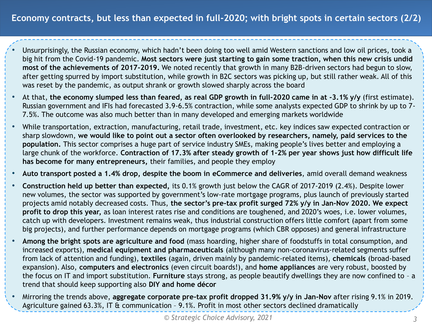- Unsurprisingly, the Russian economy, which hadn't been doing too well amid Western sanctions and low oil prices, took a big hit from the Covid-19 pandemic. **Most sectors were just starting to gain some traction, when this new crisis undid most of the achievements of 2017-2019.** We noted recently that growth in many B2B-driven sectors had begun to slow, after getting spurred by import substitution, while growth in B2C sectors was picking up, but still rather weak. All of this was reset by the pandemic, as output shrank or growth slowed sharply across the board
- At that, **the economy slumped less than feared, as real GDP growth in full-2020 came in at -3.1% y/y** (first estimate). Russian government and IFIs had forecasted 3.9-6.5% contraction, while some analysts expected GDP to shrink by up to 7- 7.5%. The outcome was also much better than in many developed and emerging markets worldwide
- While transportation, extraction, manufacturing, retail trade, investment, etc. key indices saw expected contraction or sharp slowdown, **we would like to point out a sector often overlooked by researchers, namely, paid services to the population.** This sector comprises a huge part of service industry SMEs, making people's lives better and employing a large chunk of the workforce. **Contraction of 17.3% after steady growth of 1-2% per year shows just how difficult life has become for many entrepreneurs,** their families, and people they employ
- **Auto transport posted a 1.4% drop, despite the boom in eCommerce and deliveries**, amid overall demand weakness
- **Construction held up better than expected,** its 0.1% growth just below the CAGR of 2017-2019 (2.4%). Despite lower new volumes, the sector was supported by government's low-rate mortgage programs, plus launch of previously started projects amid notably decreased costs. Thus, **the sector's pre-tax profit surged 72% y/y in Jan-Nov 2020. We expect profit to drop this year,** as loan interest rates rise and conditions are toughened, and 2020's woes, i.e. lower volumes, catch up with developers. Investment remains weak, thus industrial construction offers little comfort (apart from some big projects), and further performance depends on mortgage programs (which CBR opposes) and general infrastructure
- **Among the bright spots are agriculture and food** (mass hoarding, higher share of foodstuffs in total consumption, and increased exports), **medical equipment and pharmaceuticals** (although many non-coronavirus-related segments suffer from lack of attention and funding), **textiles** (again, driven mainly by pandemic-related items), **chemicals** (broad-based expansion). Also, **computers and electronics** (even circuit boards!), and **home appliances** are very robust, boosted by the focus on IT and import substitution. **Furniture** stays strong, as people beautify dwellings they are now confined to – a trend that should keep supporting also **DIY and home décor**
- Mirroring the trends above, **aggregate corporate pre-tax profit dropped 31.9% y/y in Jan-Nov** after rising 9.1% in 2019. Agriculture gained 63.3%, IT & communication – 9.1%. Profit in most other sectors declined dramatically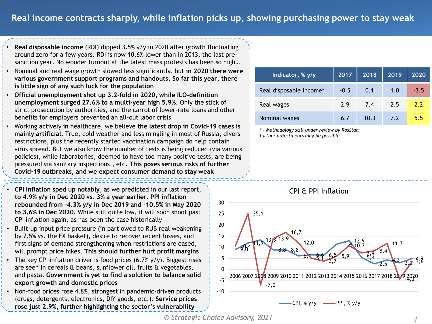• **Real disposable income** (RDI) dipped 3.5% y/y in 2020 after growth fluctuating around zero for a few years. RDI is now 10.6% lower than in 2013, the last presanction year. No wonder turnout at the latest mass protests has been so high…

- Nominal and real wage growth slowed less significantly, but **in 2020 there were various government support programs and handouts. So far this year, there is little sign of any such luck for the population**
- **Official unemployment shot up 3.2-fold in 2020, while ILO-definition unemployment surged 27.6% to a multi-year high 5.9%.** Only the stick of strict prosecution by authorities, and the carrot of lower-rate loans and other benefits for employers prevented an all-out labor crisis
- Working actively in healthcare, we believe **the latest drop in Covid-19 cases is mainly artificial.** True, cold weather and less mingling in most of Russia, divers restrictions, plus the recently started vaccination campaign do help contain virus spread. But we also know the number of tests is being reduced (via various policies), while laboratories, deemed to have too many positive tests, are being pressured via sanitary inspections., etc. **This poses serious risks of further Covid-19 outbreaks, and we expect consumer demand to stay weak**
- **CPI inflation sped up notably**, as we predicted in our last report, **to 4.9% y/y in Dec 2020 vs. 3% a year earlier. PPI inflation rebounded from -4.3% y/y in Dec 2019 and -10.5% in May 2020 to 3.6% in Dec 2020.** While still quite low, it will soon shoot past CPI inflation again, as has been the case historically
- Built-up input price pressure (in part owed to RUB real weakening by 7.5% vs. the FX basket), desire to recover recent losses, and first signs of demand strengthening when restrictions are eased, will prompt price hikes. **This should further hurt profit margins**
- The key CPI inflation driver is food prices  $(6.7\% \text{ y/y})$ . Biggest rises are seen in cereals & beans, sunflower oil, fruits & vegetables, and pasta. **Government is yet to find a solution to balance solid export growth and domestic prices**
- Non-food prices rose 4.8%, strongest in pandemic-driven products (drugs, detergents, electronics, DIY goods, etc.). **Service prices rose just 2.9%, further highlighting the sector's vulnerability**

| Indicator, % y/y        | 2017   | 2018 | 2019 | 2020   |
|-------------------------|--------|------|------|--------|
| Real disposable income* | $-0.5$ | 0.1  | 1.0  | $-3.5$ |
| Real wages              | 2.9    | 7.4  | 2.5  | 2.2    |
| Nominal wages           | 6.7    | 10.3 | 7.2  | 5.5    |

*\* - Methodology still under review by RosStat;* 

*further adjustments may be possible*



*© Strategic Choice Advisory, 2021 4*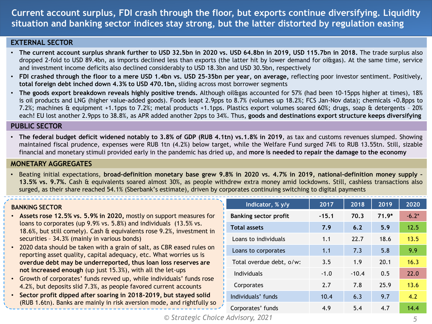### **Current account surplus, FDI crash through the floor, but exports continue diversifying. Liquidity situation and banking sector indices stay strong, but the latter distorted by regulation easing**

#### **EXTERNAL SECTOR**

- The current account surplus shrank further to USD 32.5bn in 2020 vs. USD 64.8bn in 2019, USD 115.7bn in 2018. The trade surplus also dropped 2-fold to USD 89.4bn, as imports declined less than exports (the latter hit by lower demand for oi&gas). At the same time, service and investment income deficits also declined considerably to USD 18.3bn and USD 30.5bn, respectively
- FDI crashed through the floor to a mere USD 1.4bn vs. USD 25-35bn per year, on average, reflecting poor investor sentiment. Positively, **total foreign debt inched down 4.3% to USD 470.1bn,** sliding across most borrower segments
- **The goods export breakdown reveals highly positive trends.** Although oil&gas accounted for 57% (had been 10-15pps higher at times), 18% is oil products and LNG (higher value-added goods). Foods leapt 2.9pps to 8.7% (volumes up 18.2%; FCS Jan-Nov data); chemicals +0.8pps to 7.2%; machines & equipment +1.1pps to 7.2%; metal products +1.1pps. Plastics export volumes soared 60%; drugs, soap & detergents – 20% each! EU lost another 2.9pps to 38.8%, as APR added another 2pps to 34%. Thus, **goods and destinations export structure keeps diversifying**

#### **PUBLIC SECTOR**

• The federal budget deficit widened notably to 3.8% of GDP (RUB 4.1tn) vs.1.8% in 2019, as tax and customs revenues slumped. Showing maintained fiscal prudence, expenses were RUB 1tn (4.2%) below target, while the Welfare Fund surged 74% to RUB 13.55tn. Still, sizable financial and monetary stimuli provided early in the pandemic has dried up, and **more is needed to repair the damage to the economy**

#### **MONETARY AGGREGATES**

. Beating initial expectations, broad-definition monetary base grew 9.8% in 2020 vs. 4.7% in 2019, national-definition money supply -**13.5% vs. 9.7%.** Cash & equivalents soared almost 30%, as people withdrew extra money amid lockdowns. Still, cashless transactions also surged, as their share reached 54.1% (Sberbank's estimate), driven by corporates continuing switching to digital payments

#### **BANKING SECTOR**

- **Assets rose 12.5% vs. 5.9% in 2020,** mostly on support measures for loans to corporates (up 9.9% vs. 5.8%) and individuals (13.5% vs. 18.6%, but still comely). Cash & equivalents rose 9.2%, investment in securities – 34.3% (mainly in various bonds)
- 2020 data should be taken with a grain of salt, as CBR eased rules on reporting asset quality, capital adequacy, etc. What worries us is **overdue debt may be underreported, thus loan loss reserves are not increased enough** (up just 15.3%), with all the let-ups
- Growth of corporates' funds revved up, while individuals' funds rose 4.2%, but deposits slid 7.3%, as people favored current accounts
- **Sector profit dipped after soaring in 2018-2019, but stayed solid**  (RUB 1.6tn). Banks are mainly in risk aversion mode, and rightfully so

| Indicator, % y/y             | 2017    | 2018    | 2019    | 2020    |
|------------------------------|---------|---------|---------|---------|
| <b>Banking sector profit</b> | $-15.1$ | 70.3    | $71.9*$ | $-6.2*$ |
| <b>Total assets</b>          | 7.9     | 6.2     | 5.9     | 12.5    |
| Loans to individuals         | 1.1     | 22.7    | 18.6    | 13.5    |
| Loans to corporates          | 1.1     | 7.3     | 5.8     | 9.9     |
| Total overdue debt, o/w:     | 3.5     | 1.9     | 20.1    | 16.3    |
| <b>Individuals</b>           | $-1.0$  | $-10.4$ | 0.5     | 22.0    |
| Corporates                   | 2.7     | 7.8     | 25.9    | 13.6    |
| Individuals' funds           | 10.4    | 6.3     | 9.7     | 4.2     |
| Corporates' funds            | 4.9     | 5.4     | 4.7     | 14.4    |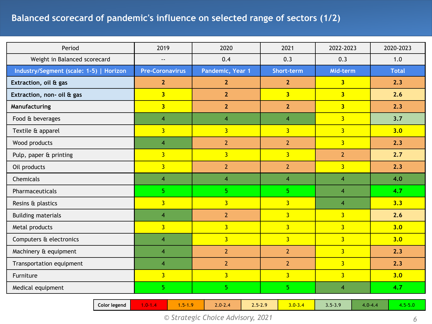## **Balanced scorecard of pandemic's influence on selected range of sectors (1/2)**

| Period                                  | 2019                   | 2020             | 2021           | 2022-2023      | 2020-2023    |
|-----------------------------------------|------------------------|------------------|----------------|----------------|--------------|
| Weight in Balanced scorecard            | $-$                    | 0.4              | 0.3            | 0.3            | 1.0          |
| Industry/Segment (scale: 1-5)   Horizon | <b>Pre-Coronavirus</b> | Pandemic, Year 1 | Short-term     | Mid-term       | <b>Total</b> |
| Extraction, oil & gas                   | 2 <sup>2</sup>         | $\overline{2}$   | 2 <sub>2</sub> | 3 <sup>1</sup> | 2.3          |
| Extraction, non- oil & gas              | 3 <sup>1</sup>         | $\overline{2}$   | 3 <sup>1</sup> | 3 <sup>2</sup> | 2.6          |
| Manufacturing                           | 3 <sup>1</sup>         | $2\overline{ }$  | $\overline{2}$ | 3 <sup>1</sup> | 2.3          |
| Food & beverages                        | $\overline{4}$         | $\overline{4}$   | $\overline{4}$ | 3 <sup>1</sup> | 3.7          |
| Textile & apparel                       | $\overline{3}$         | $\overline{3}$   | $\overline{3}$ | $\overline{3}$ | 3.0          |
| Wood products                           | $\overline{4}$         | $\overline{2}$   | $\overline{2}$ | $\overline{3}$ | 2.3          |
| Pulp, paper & printing                  | $\overline{3}$         | $\overline{3}$   | $\overline{3}$ | 2 <sup>1</sup> | 2.7          |
| Oil products                            | $\overline{3}$         | $\overline{2}$   | $\overline{2}$ | $\overline{3}$ | 2.3          |
| Chemicals                               | $\overline{4}$         | $\overline{4}$   | $\overline{4}$ | $\overline{4}$ | 4.0          |
| Pharmaceuticals                         | 5 <sup>1</sup>         | 5 <sup>1</sup>   | 5              | $\overline{4}$ | 4.7          |
| Resins & plastics                       | $\overline{3}$         | $\overline{3}$   | $\overline{3}$ | $\overline{4}$ | 3.3          |
| <b>Building materials</b>               | $\overline{4}$         | $\overline{2}$   | $\overline{3}$ | $\overline{3}$ | 2.6          |
| Metal products                          | $\overline{3}$         | $\overline{3}$   | $\overline{3}$ | $\overline{3}$ | 3.0          |
| Computers & electronics                 | $\overline{4}$         | $\overline{3}$   | $\overline{3}$ | $\overline{3}$ | 3.0          |
| Machinery & equipment                   | $\overline{4}$         | $\overline{2}$   | $\overline{2}$ | $\overline{3}$ | 2.3          |
| Transportation equipment                | $\overline{4}$         | $\overline{2}$   | $\overline{2}$ | $\overline{3}$ | 2.3          |
| Furniture                               | $\overline{3}$         | $\overline{3}$   | $\overline{3}$ | $\overline{3}$ | 3.0          |
| Medical equipment                       | 5 <sup>1</sup>         | 5 <sup>1</sup>   | 5 <sup>1</sup> | $\overline{4}$ | 4.7          |
|                                         |                        |                  |                |                |              |

*© Strategic Choice Advisory, 2021 6*

**Color legend** 1.0-1.4 1.5-1.9 2.0-2.4 2.5-2.9 3.0-3.4 3.5-3.9 4.0-4.4 4.5-5.0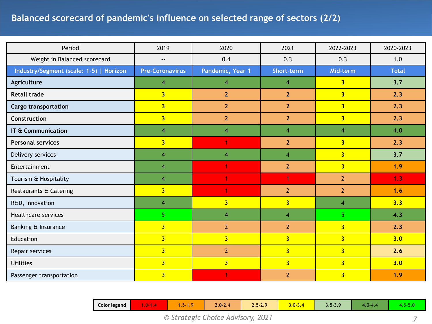# **Balanced scorecard of pandemic's influence on selected range of sectors (2/2)**

| Period                                  | 2019                    | 2020                    | 2021                    | 2022-2023               | 2020-2023    |
|-----------------------------------------|-------------------------|-------------------------|-------------------------|-------------------------|--------------|
| Weight in Balanced scorecard            | $- -$                   | 0.4                     | 0.3                     | 0.3                     | 1.0          |
| Industry/Segment (scale: 1-5)   Horizon | <b>Pre-Coronavirus</b>  | Pandemic, Year 1        | Short-term              | Mid-term                | <b>Total</b> |
| Agriculture                             | 4                       | $\overline{\mathbf{4}}$ | 4                       | $\overline{\mathbf{3}}$ | 3.7          |
| <b>Retail trade</b>                     | $\overline{3}$          | 2 <sup>2</sup>          | $\overline{2}$          | $\overline{3}$          | 2.3          |
| <b>Cargo transportation</b>             | 3 <sup>1</sup>          | $\overline{2}$          | $\overline{2}$          | 3 <sup>1</sup>          | 2.3          |
| Construction                            | $\overline{\mathbf{3}}$ | $\overline{2}$          | $\overline{2}$          | $\overline{\mathbf{3}}$ | 2.3          |
| IT & Communication                      | $\overline{4}$          | 4                       | 4                       | $\overline{\mathbf{4}}$ | 4.0          |
| <b>Personal services</b>                | $\overline{\mathbf{3}}$ | 1                       | $\overline{2}$          | 3 <sup>1</sup>          | 2.3          |
| Delivery services                       | $\overline{4}$          | $\overline{4}$          | $\overline{\mathbf{4}}$ | $\overline{3}$          | 3.7          |
| Entertainment                           | $\overline{4}$          | 1                       | $\overline{2}$          | $\overline{3}$          | 1.9          |
| Tourism & Hospitality                   | $\overline{4}$          | 1                       | 1                       | $\overline{2}$          | 1.3          |
| Restaurants & Catering                  | $\overline{3}$          | 1                       | $\overline{2}$          | $\overline{2}$          | 1.6          |
| R&D, Innovation                         | $\overline{4}$          | $\overline{3}$          | $\overline{3}$          | $\overline{4}$          | 3.3          |
| Healthcare services                     | 5 <sub>1</sub>          | $\overline{4}$          | $\overline{4}$          | 5                       | 4.3          |
| Banking & Insurance                     | $\overline{3}$          | $\overline{2}$          | $\overline{2}$          | $\overline{3}$          | 2.3          |
| Education                               | $\overline{3}$          | $\overline{3}$          | $\overline{3}$          | $\overline{3}$          | 3.0          |
| Repair services                         | $\overline{3}$          | $\overline{2}$          | $\overline{3}$          | $\overline{3}$          | 2.6          |
| <b>Utilities</b>                        | $\overline{3}$          | $\overline{3}$          | $\overline{3}$          | $\overline{3}$          | 3.0          |
| Passenger transportation                | $\overline{3}$          | 1                       | $\overline{2}$          | $\overline{3}$          | 1.9          |

|  | Color legend | <b>TIM</b><br>$\sim$<br>- - -<br>. | <b>The Company</b><br>$\sim$<br>$\sim$ $\sim$ $\sim$<br>. | $\sim$ $\sim$<br>$\sim$<br>11- Z<br>$2.0 - 2.4$ | 2520<br><b>Contract Contract Contract</b><br><i><u>L.J L.J</u></i> | <b>Service</b><br>$3.0 - 3.4$ | 20<br>n.,<br>$J. J^- J. 7$ | $4.0 - 4.$<br>. . | $  -$<br>. |
|--|--------------|------------------------------------|-----------------------------------------------------------|-------------------------------------------------|--------------------------------------------------------------------|-------------------------------|----------------------------|-------------------|------------|
|--|--------------|------------------------------------|-----------------------------------------------------------|-------------------------------------------------|--------------------------------------------------------------------|-------------------------------|----------------------------|-------------------|------------|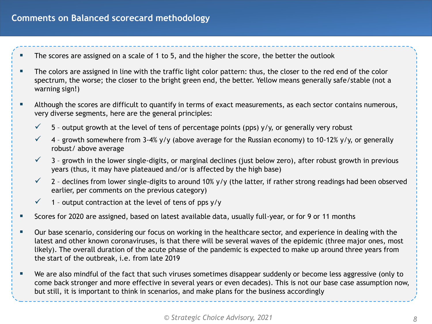### **Comments on Balanced scorecard methodology**

- The scores are assigned on a scale of 1 to 5, and the higher the score, the better the outlook
- The colors are assigned in line with the traffic light color pattern: thus, the closer to the red end of the color spectrum, the worse; the closer to the bright green end, the better. Yellow means generally safe/stable (not a warning sign!)
- Although the scores are difficult to quantify in terms of exact measurements, as each sector contains numerous, very diverse segments, here are the general principles:
	- $\checkmark$  5 output growth at the level of tens of percentage points (pps) y/y, or generally very robust
	- $\checkmark$  4 growth somewhere from 3-4% y/y (above average for the Russian economy) to 10-12% y/y, or generally robust/ above average
	- $\checkmark$  3 growth in the lower single-digits, or marginal declines (just below zero), after robust growth in previous years (thus, it may have plateaued and/or is affected by the high base)
	- $\checkmark$  2 declines from lower single-digits to around 10% y/y (the latter, if rather strong readings had been observed earlier, per comments on the previous category)
	- $\checkmark$  1 output contraction at the level of tens of pps y/y
- Scores for 2020 are assigned, based on latest available data, usually full-year, or for 9 or 11 months
- Our base scenario, considering our focus on working in the healthcare sector, and experience in dealing with the latest and other known coronaviruses, is that there will be several waves of the epidemic (three major ones, most likely). The overall duration of the acute phase of the pandemic is expected to make up around three years from the start of the outbreak, i.e. from late 2019
- We are also mindful of the fact that such viruses sometimes disappear suddenly or become less aggressive (only to come back stronger and more effective in several years or even decades). This is not our base case assumption now, but still, it is important to think in scenarios, and make plans for the business accordingly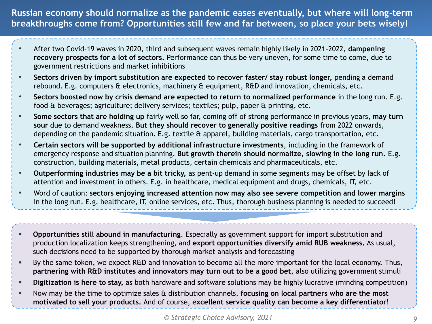**Russian economy should normalize as the pandemic eases eventually, but where will long-term breakthroughs come from? Opportunities still few and far between, so place your bets wisely!**

- After two Covid-19 waves in 2020, third and subsequent waves remain highly likely in 2021-2022, **dampening recovery prospects for a lot of sectors.** Performance can thus be very uneven, for some time to come, due to government restrictions and market inhibitions
- **Sectors driven by import substitution are expected to recover faster/ stay robust longer,** pending a demand rebound. E.g. computers & electronics, machinery & equipment, R&D and innovation, chemicals, etc.
- **Sectors boosted now by crisis demand are expected to return to normalized performance** in the long run. E.g. food & beverages; agriculture; delivery services; textiles; pulp, paper & printing, etc.
- **Some sectors that are holding up** fairly well so far, coming off of strong performance in previous years, **may turn sour** due to demand weakness. **But they should recover to generally positive readings** from 2022 onwards, depending on the pandemic situation. E.g. textile & apparel, building materials, cargo transportation, etc.
- **Certain sectors will be supported by additional infrastructure investments**, including in the framework of emergency response and situation planning. **But growth therein should normalize, slowing in the long run.** E.g. construction, building materials, metal products, certain chemicals and pharmaceuticals, etc.
- **Outperforming industries may be a bit tricky,** as pent-up demand in some segments may be offset by lack of attention and investment in others. E.g. in healthcare, medical equipment and drugs, chemicals, IT, etc.
- Word of caution: **sectors enjoying increased attention now may also see severe competition and lower margins**  in the long run. E.g. healthcare, IT, online services, etc. Thus, thorough business planning is needed to succeed!
- **Opportunities still abound in manufacturing**. Especially as government support for import substitution and production localization keeps strengthening, and **export opportunities diversify amid RUB weakness.** As usual, such decisions need to be supported by thorough market analysis and forecasting
- By the same token, we expect R&D and innovation to become all the more important for the local economy. Thus, **partnering with R&D institutes and innovators may turn out to be a good bet**, also utilizing government stimuli
- **Digitization is here to stay,** as both hardware and software solutions may be highly lucrative (minding competition)
- Now may be the time to optimize sales & distribution channels, **focusing on local partners who are the most motivated to sell your products.** And of course, e**xcellent service quality can become a key differentiator**!